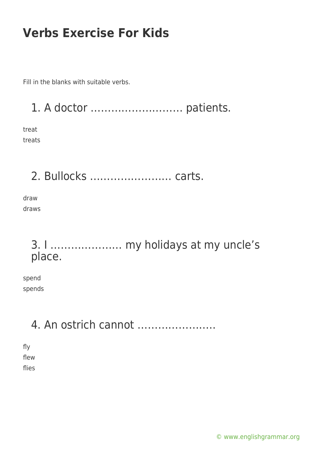Fill in the blanks with suitable verbs.

1. A doctor ……………………… patients.

treat treats

2. Bullocks …………………… carts.

draw draws

#### 3. I ………………… my holidays at my uncle's place.

spend spends

### 4. An ostrich cannot …………………..

fly flew flies

[© www.englishgrammar.org](https://www.englishgrammar.org/)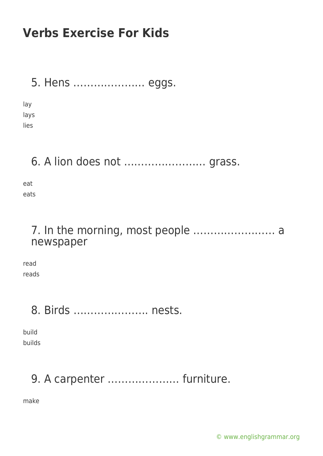#### 5. Hens ………………… eggs.

lay lays lies

### 6. A lion does not …………………… grass.

eat eats

#### 7. In the morning, most people …………………… a newspaper

read reads

### 8. Birds …………………. nests.

build builds

# 9. A carpenter ………………… furniture.

make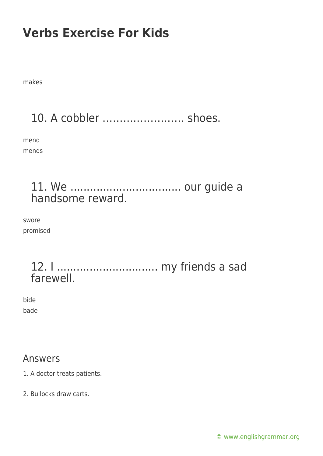makes

# 10. A cobbler …………………… shoes.

mend mends

#### 11. We .................................. our guide a handsome reward.

swore promised

#### 12. I ............................... my friends a sad farewell.

bide bade

#### Answers

1. A doctor treats patients.

2. Bullocks draw carts.